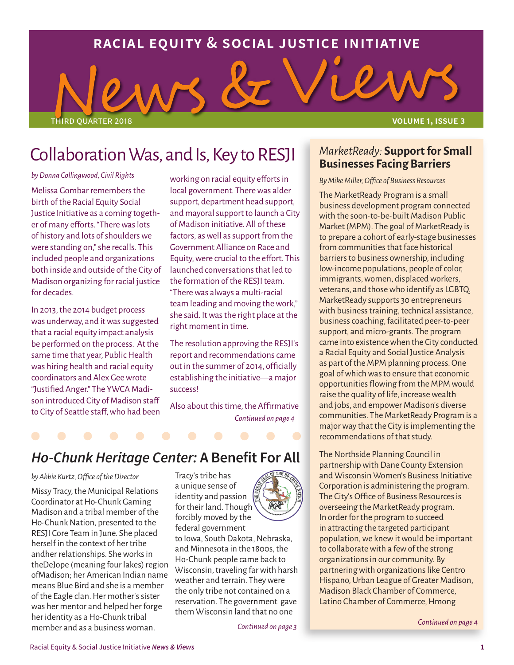### **racial equity & social justice initiative**

third quarter 2018 **volume 1, issue 3**

#### *by Donna Collingwood, Civil Rights*

Melissa Gombar remembers the birth of the Racial Equity Social Justice Initiative as a coming together of many efforts. "There was lots of history and lots of shoulders we were standing on," she recalls. This included people and organizations both inside and outside of the City of Madison organizing for racial justice for decades.

In 2013, the 2014 budget process was underway, and it was suggested that a racial equity impact analysis be performed on the process. At the same time that year, Public Health was hiring health and racial equity coordinators and Alex Gee wrote "Justified Anger." The YWCA Madison introduced City of Madison staff to City of Seattle staff, who had been working on racial equity efforts in local government. There was alder support, department head support, and mayoral support to launch a City of Madison initiative. All of these factors, as well as support from the Government Alliance on Race and Equity, were crucial to the effort. This launched conversations that led to the formation of the RESJI team. "There was always a multi-racial team leading and moving the work," she said. It was the right place at the right moment in time.

The resolution approving the RESJI's report and recommendations came out in the summer of 2014, officially establishing the initiative—a major success!

*Continued on page 4* Also about this time, the Affirmative

### *Ho-Chunk Heritage Center:* **A Benefit For All**

Collaboration Was, and Is, Key to RESJI

#### *by Abbie Kurtz, Office of the Director*

Missy Tracy, the Municipal Relations Coordinator at Ho-Chunk Gaming Madison and a tribal member of the Ho-Chunk Nation, presented to the RESJI Core Team in June. She placed herself in the context of her tribe andher relationships. She works in theDeJope (meaning four lakes) region ofMadison; her American Indian name means Blue Bird and she is a member of the Eagle clan. Her mother's sister was her mentor and helped her forge her identity as a Ho-Chunk tribal member and as a business woman.

Tracy's tribe has a unique sense of identity and passion for their land. Though forcibly moved by the federal government to Iowa, South Dakota, Nebraska, and Minnesota in the 1800s, the Ho-Chunk people came back to weather and terrain. They were the only tribe not contained on a reservation. The government gave



Wisconsin, traveling far with harsh them Wisconsin land that no one

*Continued on page 3*

# *MarketReady:* **Support for Small**

## **Businesses Facing Barriers**

#### *By Mike Miller, Office of Business Resources*

The MarketReady Program is a small business development program connected with the soon-to-be-built Madison Public Market (MPM). The goal of MarketReady is to prepare a cohort of early-stage businesses from communities that face historical barriers to business ownership, including low-income populations, people of color, immigrants, women, displaced workers, veterans, and those who identify as LGBTQ. MarketReady supports 30 entrepreneurs with business training, technical assistance, business coaching, facilitated peer-to-peer support, and micro-grants. The program came into existence when the City conducted a Racial Equity and Social Justice Analysis as part of the MPM planning process. One goal of which was to ensure that economic opportunities flowing from the MPM would raise the quality of life, increase wealth and jobs, and empower Madison's diverse communities. The MarketReady Program is a major way that the City is implementing the recommendations of that study.

The Northside Planning Council in partnership with Dane County Extension and Wisconsin Women's Business Initiative Corporation is administering the program. The City's Office of Business Resources is overseeing the MarketReady program. In order for the program to succeed in attracting the targeted participant population, we knew it would be important to collaborate with a few of the strong organizations in our community. By partnering with organizations like Centro Hispano, Urban League of Greater Madison, Madison Black Chamber of Commerce, Latino Chamber of Commerce, Hmong

*Continued on page 4*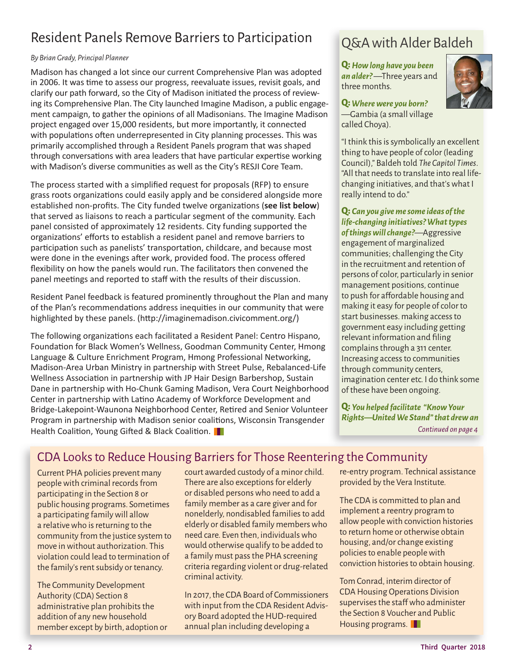## Resident Panels Remove Barriers to Participation

#### *By Brian Grady, Principal Planner*

Madison has changed a lot since our current Comprehensive Plan was adopted in 2006. It was time to assess our progress, reevaluate issues, revisit goals, and clarify our path forward, so the City of Madison initiated the process of reviewing its Comprehensive Plan. The City launched Imagine Madison, a public engagement campaign, to gather the opinions of all Madisonians. The Imagine Madison project engaged over 15,000 residents, but more importantly, it connected with populations often underrepresented in City planning processes. This was primarily accomplished through a Resident Panels program that was shaped through conversations with area leaders that have particular expertise working with Madison's diverse communities as well as the City's RESJI Core Team.

The process started with a simplified request for proposals (RFP) to ensure grass roots organizations could easily apply and be considered alongside more established non-profits. The City funded twelve organizations (**see list below**) that served as liaisons to reach a particular segment of the community. Each panel consisted of approximately 12 residents. City funding supported the organizations' efforts to establish a resident panel and remove barriers to participation such as panelists' transportation, childcare, and because most were done in the evenings after work, provided food. The process offered flexibility on how the panels would run. The facilitators then convened the panel meetings and reported to staff with the results of their discussion.

Resident Panel feedback is featured prominently throughout the Plan and many of the Plan's recommendations address inequities in our community that were highlighted by these panels. (http://imaginemadison.civicomment.org/)

The following organizations each facilitated a Resident Panel: Centro Hispano, Foundation for Black Women's Wellness, Goodman Community Center, Hmong Language & Culture Enrichment Program, Hmong Professional Networking, Madison-Area Urban Ministry in partnership with Street Pulse, Rebalanced-Life Wellness Association in partnership with JP Hair Design Barbershop, Sustain Dane in partnership with Ho-Chunk Gaming Madison, Vera Court Neighborhood Center in partnership with Latino Academy of Workforce Development and Bridge-Lakepoint-Waunona Neighborhood Center, Retired and Senior Volunteer Program in partnership with Madison senior coalitions, Wisconsin Transgender Health Coalition, Young Gifted & Black Coalition.

## Q&A with Alder Baldeh

**Q:** *How long have you been an alder?* —Three years and three months.



**Q:** *Where were you born?* —Gambia (a small village called Choya).

"I think this is symbolically an excellent thing to have people of color (leading Council)," Baldeh told *The Capitol Times*. "All that needs to translate into real lifechanging initiatives, and that's what I really intend to do."

**Q:** *Can you give me some ideas of the life-changing initiatives? What types of things will change?*—Aggressive engagement of marginalized communities; challenging the City in the recruitment and retention of persons of color, particularly in senior management positions, continue to push for affordable housing and making it easy for people of color to start businesses. making access to government easy including getting relevant information and filing complains through a 311 center. Increasing access to communities through community centers, imagination center etc. I do think some of these have been ongoing.

**Q:** *You helped facilitate "Know Your Rights—United We Stand" that drew an Continued on page 4*

### CDA Looks to Reduce Housing Barriers for Those Reentering the Community

Current PHA policies prevent many people with criminal records from participating in the Section 8 or public housing programs. Sometimes a participating family will allow a relative who is returning to the community from the justice system to move in without authorization. This violation could lead to termination of the family's rent subsidy or tenancy.

The Community Development Authority (CDA) Section 8 administrative plan prohibits the addition of any new household member except by birth, adoption or court awarded custody of a minor child. There are also exceptions for elderly or disabled persons who need to add a family member as a care giver and for nonelderly, nondisabled families to add elderly or disabled family members who need care. Even then, individuals who would otherwise qualify to be added to a family must pass the PHA screening criteria regarding violent or drug-related criminal activity.

In 2017, the CDA Board of Commissioners with input from the CDA Resident Advisory Board adopted the HUD-required annual plan including developing a

re-entry program. Technical assistance provided by the Vera Institute.

The CDA is committed to plan and implement a reentry program to allow people with conviction histories to return home or otherwise obtain housing, and/or change existing policies to enable people with conviction histories to obtain housing.

Tom Conrad, interim director of CDA Housing Operations Division supervises the staff who administer the Section 8 Voucher and Public Housing programs.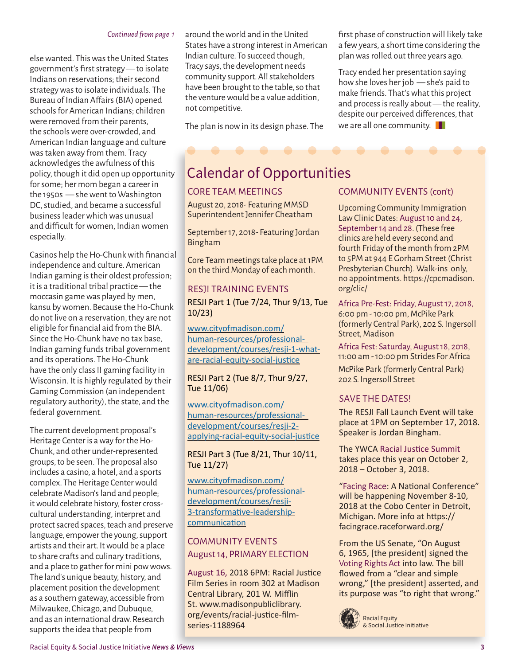#### *Continued from page 1*

else wanted. This was the United States government's first strategy — to isolate Indians on reservations; their second strategy was to isolate individuals. The Bureau of Indian Affairs (BIA) opened schools for American Indians; children were removed from their parents, the schools were over-crowded, and American Indian language and culture was taken away from them. Tracy acknowledges the awfulness of this policy, though it did open up opportunity for some; her mom began a career in the 1950s — she went to Washington DC, studied, and became a successful business leader which was unusual and difficult for women, Indian women especially.

Casinos help the Ho-Chunk with financial independence and culture. American Indian gaming is their oldest profession; it is a traditional tribal practice — the moccasin game was played by men, kansu by women. Because the Ho-Chunk do not live on a reservation, they are not eligible for financial aid from the BIA. Since the Ho-Chunk have no tax base, Indian gaming funds tribal government and its operations. The Ho-Chunk have the only class II gaming facility in Wisconsin. It is highly regulated by their Gaming Commission (an independent regulatory authority), the state, and the federal government.

The current development proposal's Heritage Center is a way for the Ho-Chunk, and other under-represented groups, to be seen. The proposal also includes a casino, a hotel, and a sports complex. The Heritage Center would celebrate Madison's land and people; it would celebrate history, foster crosscultural understanding, interpret and protect sacred spaces, teach and preserve language, empower the young, support artists and their art. It would be a place to share crafts and culinary traditions, and a place to gather for mini pow wows. The land's unique beauty, history, and placement position the development as a southern gateway, accessible from Milwaukee, Chicago, and Dubuque, and as an international draw. Research supports the idea that people from

around the world and in the United States have a strong interest in American Indian culture. To succeed though, Tracy says, the development needs community support. All stakeholders have been brought to the table, so that the venture would be a value addition, not competitive.

The plan is now in its design phase. The

#### first phase of construction will likely take a few years, a short time considering the plan was rolled out three years ago.

Tracy ended her presentation saying how she loves her job — she's paid to make friends. That's what this project and process is really about — the reality, despite our perceived differences, that we are all one community.  $\blacksquare$ 

## Calendar of Opportunities

#### CORE TEAM MEETINGS

August 20, 2018- Featuring MMSD Superintendent Jennifer Cheatham

September 17, 2018- Featuring Jordan Bingham

Core Team meetings take place at 1PM on the third Monday of each month.

#### RESJI TRAINING EVENTS

RESJI Part 1 (Tue 7/24, Thur 9/13, Tue 10/23)

www.cityofmadison.com/ human-resources/professionaldevelopment/courses/resji-1-whatare-racial-equity-social-justice

RESJI Part 2 (Tue 8/7, Thur 9/27, Tue 11/06)

www.cityofmadison.com/ human-resources/professionaldevelopment/courses/resji-2 applying-racial-equity-social-justice

RESJI Part 3 (Tue 8/21, Thur 10/11, Tue 11/27)

www.cityofmadison.com/ human-resources/professionaldevelopment/courses/resji-3-transformative-leadershipcommunication

#### COMMUNITY EVENTS August 14, PRIMARY ELECTION

August 16, 2018 6PM: Racial Justice Film Series in room 302 at Madison Central Library, 201 W. Mifflin St. www.madisonpubliclibrary. org/events/racial-justice-filmseries-1188964

#### COMMUNITY EVENTS (con't)

Upcoming Community Immigration Law Clinic Dates: August 10 and 24, September 14 and 28. (These free clinics are held every second and fourth Friday of the month from 2PM to 5PM at 944 E Gorham Street (Christ Presbyterian Church). Walk-ins only, no appointments. https://cpcmadison. org/clic/

Africa Pre-Fest: Friday, August 17, 2018, 6:00 pm - 10:00 pm, McPike Park (formerly Central Park), 202 S. Ingersoll Street, Madison

Africa Fest: Saturday, August 18, 2018, 11:00 am - 10:00 pm Strides For Africa

McPike Park (formerly Central Park) 202 S. Ingersoll Street

#### SAVE THE DATES!

The RESJI Fall Launch Event will take place at 1PM on September 17, 2018. Speaker is Jordan Bingham.

The YWCA Racial Justice Summit takes place this year on October 2, 2018 – October 3, 2018.

"Facing Race: A National Conference" will be happening November 8-10, 2018 at the Cobo Center in Detroit, Michigan. More info at https:// facingrace.raceforward.org/

From the US Senate, "On August 6, 1965, [the president] signed the Voting Rights Act into law. The bill flowed from a "clear and simple wrong," [the president] asserted, and its purpose was "to right that wrong."